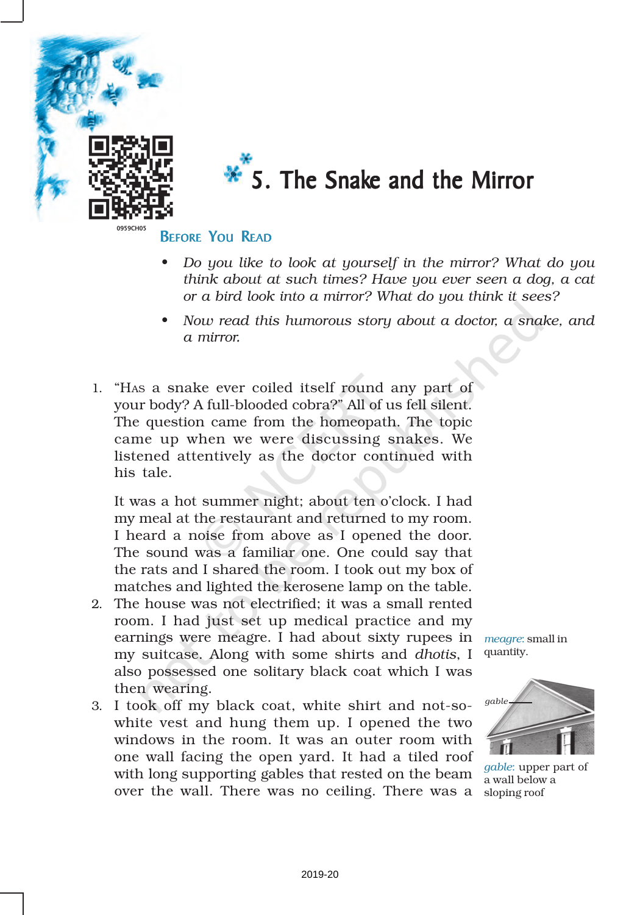

# $\overline{\mathbf{x}}$  5. The Snake and the Mirror

### **BEFORE YOU READ**

- *• Do you like to look at yourself in the mirror? What do you think about at such times? Have you ever seen a dog, a cat or a bird look into a mirror? What do you think it sees?*
- *• Now read this humorous story about a doctor, a snake, and a mirror.*
- 1. "HAS a snake ever coiled itself round any part of your body? A full-blooded cobra?" All of us fell silent. The question came from the homeopath. The topic came up when we were discussing snakes. We listened attentively as the doctor continued with his tale.

It was a hot summer night; about ten o'clock. I had my meal at the restaurant and returned to my room. I heard a noise from above as I opened the door. The sound was a familiar one. One could say that the rats and I shared the room. I took out my box of matches and lighted the kerosene lamp on the table.

- 2. The house was not electrified; it was a small rented room. I had just set up medical practice and my earnings were meagre. I had about sixty rupees in my suitcase. Along with some shirts and *dhotis*, I also possessed one solitary black coat which I was then wearing.
- 3. I took off my black coat, white shirt and not-sowhite vest and hung them up. I opened the two windows in the room. It was an outer room with one wall facing the open yard. It had a tiled roof with long supporting gables that rested on the beam over the wall. There was no ceiling. There was a

*meagre*: small in quantity.



*gable*: upper part of a wall below a sloping roof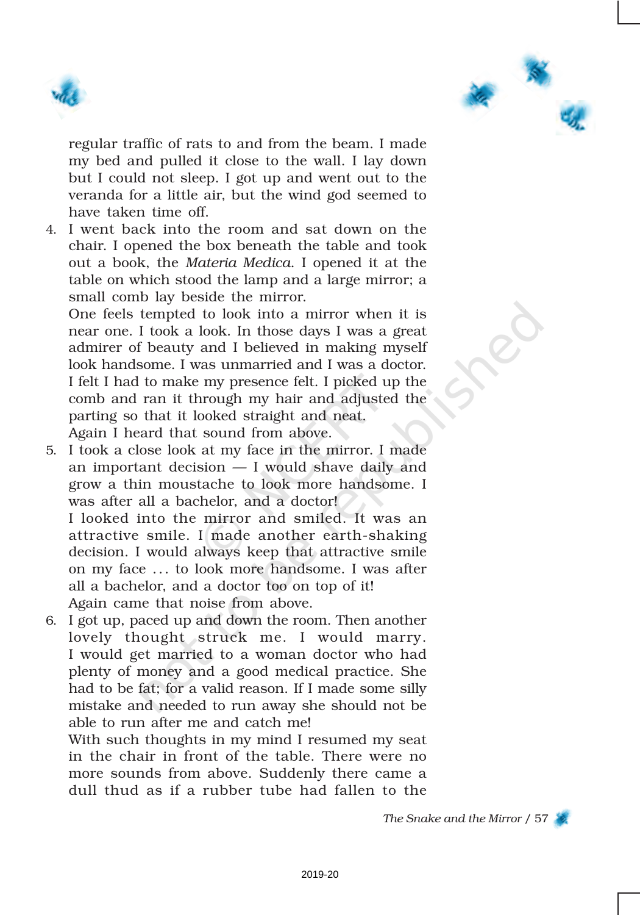



regular traffic of rats to and from the beam. I made my bed and pulled it close to the wall. I lay down but I could not sleep. I got up and went out to the veranda for a little air, but the wind god seemed to have taken time off.

4. I went back into the room and sat down on the chair. I opened the box beneath the table and took out a book, the *Materia Medica*. I opened it at the table on which stood the lamp and a large mirror; a small comb lay beside the mirror.

One feels tempted to look into a mirror when it is near one. I took a look. In those days I was a great admirer of beauty and I believed in making myself look handsome. I was unmarried and I was a doctor. I felt I had to make my presence felt. I picked up the comb and ran it through my hair and adjusted the parting so that it looked straight and neat. Again I heard that sound from above.

5. I took a close look at my face in the mirror. I made an important decision — I would shave daily and grow a thin moustache to look more handsome. I was after all a bachelor, and a doctor!

I looked into the mirror and smiled. It was an attractive smile. I made another earth-shaking decision. I would always keep that attractive smile on my face ... to look more handsome. I was after all a bachelor, and a doctor too on top of it! Again came that noise from above.

6. I got up, paced up and down the room. Then another lovely thought struck me. I would marry. I would get married to a woman doctor who had plenty of money and a good medical practice. She had to be fat; for a valid reason. If I made some silly mistake and needed to run away she should not be able to run after me and catch me!

With such thoughts in my mind I resumed my seat in the chair in front of the table. There were no more sounds from above. Suddenly there came a dull thud as if a rubber tube had fallen to the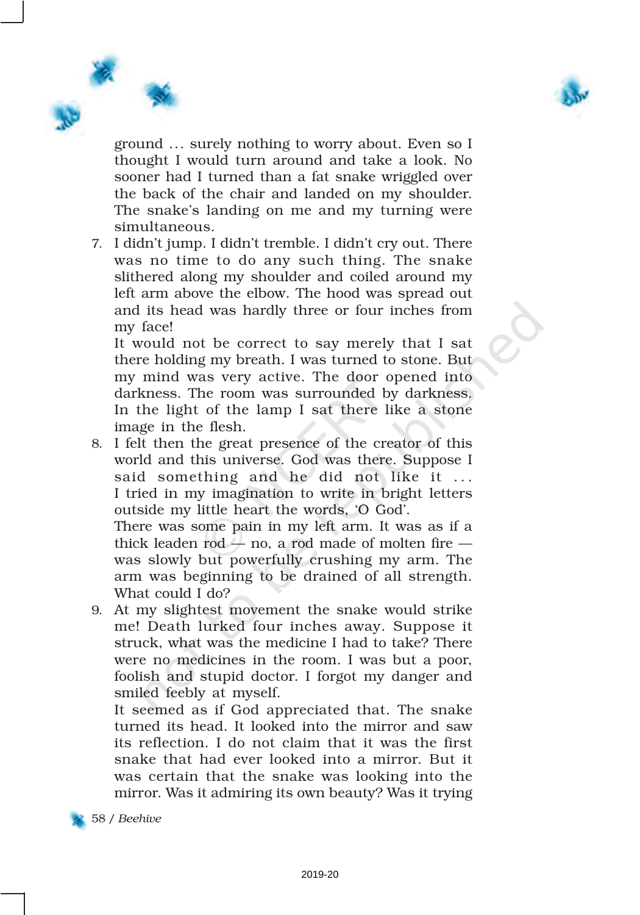

ground ... surely nothing to worry about. Even so I thought I would turn around and take a look. No sooner had I turned than a fat snake wriggled over the back of the chair and landed on my shoulder. The snake's landing on me and my turning were simultaneous.

7. I didn't jump. I didn't tremble. I didn't cry out. There was no time to do any such thing. The snake slithered along my shoulder and coiled around my left arm above the elbow. The hood was spread out and its head was hardly three or four inches from my face!

It would not be correct to say merely that I sat there holding my breath. I was turned to stone. But my mind was very active. The door opened into darkness. The room was surrounded by darkness. In the light of the lamp I sat there like a stone image in the flesh.

8. I felt then the great presence of the creator of this world and this universe. God was there. Suppose I said something and he did not like it ... I tried in my imagination to write in bright letters outside my little heart the words, 'O God'.

There was some pain in my left arm. It was as if a thick leaden rod  $-$  no, a rod made of molten fire  $$ was slowly but powerfully crushing my arm. The arm was beginning to be drained of all strength. What could I do?

9. At my slightest movement the snake would strike me! Death lurked four inches away. Suppose it struck, what was the medicine I had to take? There were no medicines in the room. I was but a poor, foolish and stupid doctor. I forgot my danger and smiled feebly at myself.

It seemed as if God appreciated that. The snake turned its head. It looked into the mirror and saw its reflection. I do not claim that it was the first snake that had ever looked into a mirror. But it was certain that the snake was looking into the mirror. Was it admiring its own beauty? Was it trying

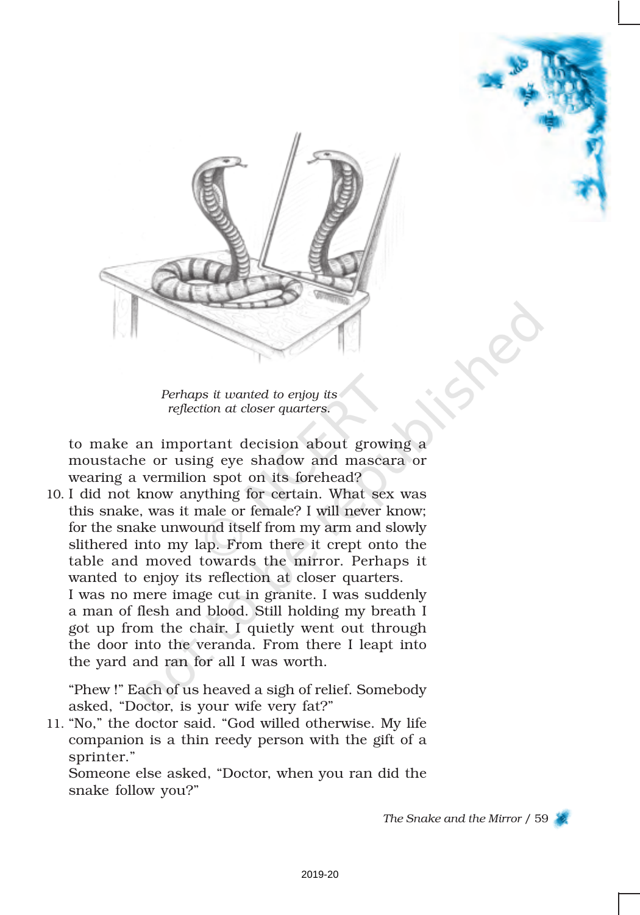

*Perhaps it wanted to enjoy its reflection at closer quarters.*

to make an important decision about growing a moustache or using eye shadow and mascara or wearing a vermilion spot on its forehead?

10. I did not know anything for certain. What sex was this snake, was it male or female? I will never know; for the snake unwound itself from my arm and slowly slithered into my lap. From there it crept onto the table and moved towards the mirror. Perhaps it wanted to enjoy its reflection at closer quarters. I was no mere image cut in granite. I was suddenly a man of flesh and blood. Still holding my breath I got up from the chair. I quietly went out through the door into the veranda. From there I leapt into the yard and ran for all I was worth.

"Phew !" Each of us heaved a sigh of relief. Somebody asked, "Doctor, is your wife very fat?"

11. "No," the doctor said. "God willed otherwise. My life companion is a thin reedy person with the gift of a sprinter."

Someone else asked, "Doctor, when you ran did the snake follow you?"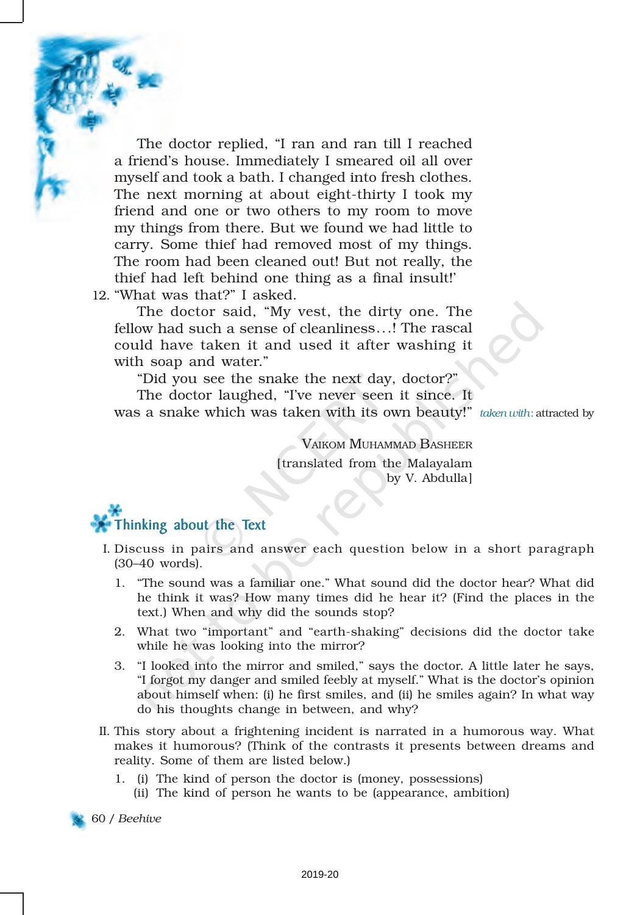The doctor replied, "I ran and ran till I reached a friend's house. Immediately I smeared oil all over myself and took a bath. I changed into fresh clothes. The next morning at about eight-thirty I took my friend and one or two others to my room to move my things from there. But we found we had little to carry. Some thief had removed most of my things. The room had been cleaned out! But not really, the thief had left behind one thing as a final insult!'

12. "What was that?" I asked.

The doctor said, "My vest, the dirty one. The fellow had such a sense of cleanliness...! The rascal could have taken it and used it after washing it with soap and water."

"Did you see the snake the next day, doctor?"

The doctor laughed, "I've never seen it since. It was a snake which was taken with its own beauty!" *taken with*: attracted by

VAIKOM MUHAMMAD BASHEER [translated from the Malayalam by V. Abdulla]

### Thinking about the Text

- I. Discuss in pairs and answer each question below in a short paragraph (30–40 words).
	- 1. "The sound was a familiar one." What sound did the doctor hear? What did he think it was? How many times did he hear it? (Find the places in the text.) When and why did the sounds stop?
	- 2. What two "important" and "earth-shaking" decisions did the doctor take while he was looking into the mirror?
	- 3. "I looked into the mirror and smiled," says the doctor. A little later he says, "I forgot my danger and smiled feebly at myself." What is the doctor's opinion about himself when: (i) he first smiles, and (ii) he smiles again? In what way do his thoughts change in between, and why?
- II. This story about a frightening incident is narrated in a humorous way. What makes it humorous? (Think of the contrasts it presents between dreams and reality. Some of them are listed below.)
	- 1. (i) The kind of person the doctor is (money, possessions) (ii) The kind of person he wants to be (appearance, ambition)

60 / *Beehive*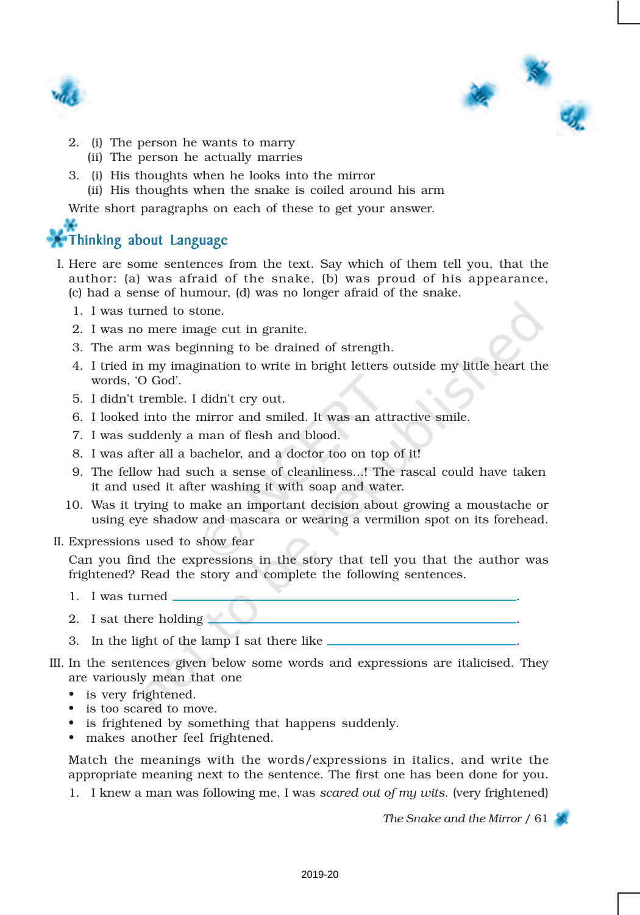



- 2. (i) The person he wants to marry
	- (ii) The person he actually marries
- 3. (i) His thoughts when he looks into the mirror
	- (ii) His thoughts when the snake is coiled around his arm

Write short paragraphs on each of these to get your answer.

### Thinking about Language

- I. Here are some sentences from the text. Say which of them tell you, that the author: (a) was afraid of the snake, (b) was proud of his appearance, (c) had a sense of humour, (d) was no longer afraid of the snake.
	- 1. I was turned to stone.
	- 2. I was no mere image cut in granite.
	- 3. The arm was beginning to be drained of strength.
	- 4. I tried in my imagination to write in bright letters outside my little heart the words, 'O God'.
	- 5. I didn't tremble. I didn't cry out.
	- 6. I looked into the mirror and smiled. It was an attractive smile.
	- 7. I was suddenly a man of flesh and blood.
	- 8. I was after all a bachelor, and a doctor too on top of it!
	- 9. The fellow had such a sense of cleanliness...! The rascal could have taken it and used it after washing it with soap and water.
	- 10. Was it trying to make an important decision about growing a moustache or using eye shadow and mascara or wearing a vermilion spot on its forehead.
- II. Expressions used to show fear

Can you find the expressions in the story that tell you that the author was frightened? Read the story and complete the following sentences.

- 1. I was turned .
- 2. I sat there holding  $\blacksquare$
- 3. In the light of the lamp I sat there like  $\frac{1}{\sqrt{2\pi}}$
- III. In the sentences given below some words and expressions are italicised. They are variously mean that one
	- is very frightened.
	- is too scared to move.
	- is frightened by something that happens suddenly.
	- makes another feel frightened.

Match the meanings with the words/expressions in italics, and write the appropriate meaning next to the sentence. The first one has been done for you.

1. I knew a man was following me, I was *scared out of my wits*. (very frightened)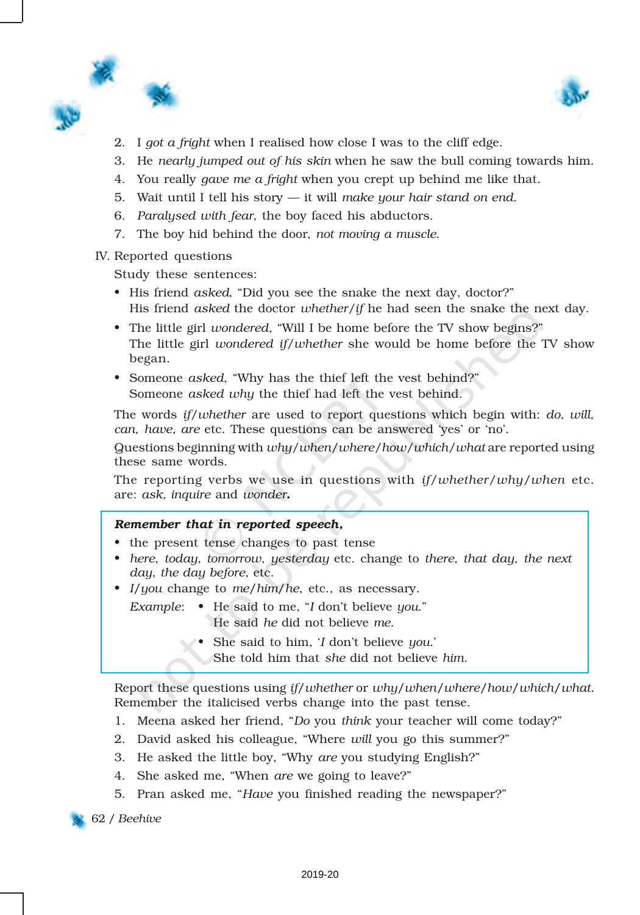

- 2. I *got a fright* when I realised how close I was to the cliff edge.
- 3. He *nearly jumped out of his skin* when he saw the bull coming towards him.
- 4. You really *gave me a fright* when you crept up behind me like that.
- 5. Wait until I tell his story it will *make your hair stand on end*.
- 6. *Paralysed with fear*, the boy faced his abductors.
- 7. The boy hid behind the door, *not moving a muscle*.

IV. Reported questions

Study these sentences:

- His friend *asked*, "Did you see the snake the next day, doctor?" His friend *asked* the doctor *whether/if* he had seen the snake the next day.
- The little girl *wondered*, "Will I be home before the TV show begins?" The little girl *wondered if/whether* she would be home before the TV show began.
- Someone *asked*, "Why has the thief left the vest behind?" Someone *asked why* the thief had left the vest behind.

The words *if/whether* are used to report questions which begin with: *do, will*, *can*, *have, are* etc. These questions can be answered 'yes' or 'no'.

Questions beginning with *why/when/where/how/which/what* are reported using these same words.

The reporting verbs we use in questions with *if/whether/why/when* etc. are: *ask, inquire* and *wonder*.

#### *Remember that in reported speech,*

- the present tense changes to past tense
- *here*, *today*, *tomorrow*, *yesterday* etc. change to *there*, *that day*, *the next day*, *the day before*, etc.
- *I*/*you* change to *me*/*him*/*he*, etc., as necessary.
	- *Example*: He said to me, "*I* don't believe *you*." He said *he* did not believe *me*.
		- She said to him, '*I* don't believe *you*.'
			- She told him that *she* did not believe *him*.

Report these questions using *if*/*whether* or *why*/*when*/*where*/*how*/*which*/*what.* Remember the italicised verbs change into the past tense.

- 1. Meena asked her friend, "*Do* you *think* your teacher will come today?"
- 2. David asked his colleague, "Where *will* you go this summer?"
- 3. He asked the little boy, "Why *are* you studying English?"
- 4. She asked me, "When *are* we going to leave?"
- 5. Pran asked me, "*Have* you finished reading the newspaper?"

62 / *Beehive*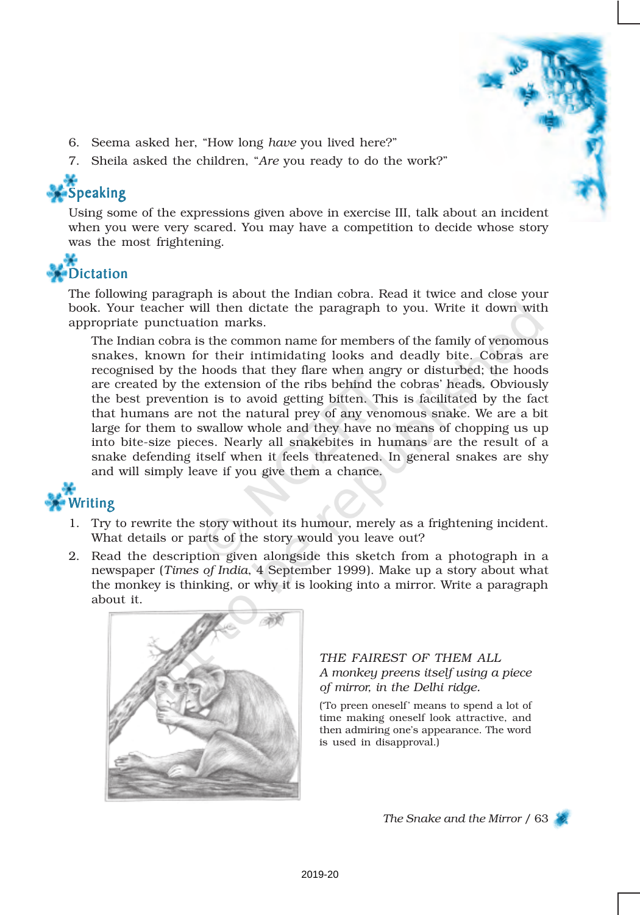- 6. Seema asked her, "How long *have* you lived here?"
- 7. Sheila asked the children, "*Are* you ready to do the work?"

## Speaking

Using some of the expressions given above in exercise III, talk about an incident when you were very scared. You may have a competition to decide whose story was the most frightening.



The following paragraph is about the Indian cobra. Read it twice and close your book. Your teacher will then dictate the paragraph to you. Write it down with appropriate punctuation marks.

The Indian cobra is the common name for members of the family of venomous snakes, known for their intimidating looks and deadly bite. Cobras are recognised by the hoods that they flare when angry or disturbed; the hoods are created by the extension of the ribs behind the cobras' heads. Obviously the best prevention is to avoid getting bitten. This is facilitated by the fact that humans are not the natural prey of any venomous snake. We are a bit large for them to swallow whole and they have no means of chopping us up into bite-size pieces. Nearly all snakebites in humans are the result of a snake defending itself when it feels threatened. In general snakes are shy and will simply leave if you give them a chance.

### Writing

- 1. Try to rewrite the story without its humour, merely as a frightening incident. What details or parts of the story would you leave out?
- 2. Read the description given alongside this sketch from a photograph in a newspaper (*Times of India*, 4 September 1999). Make up a story about what the monkey is thinking, or why it is looking into a mirror. Write a paragraph about it.



#### *THE FAIREST OF THEM ALL A monkey preens itself using a piece of mirror, in the Delhi ridge.*

('To preen oneself' means to spend a lot of time making oneself look attractive, and then admiring one's appearance. The word is used in disapproval.)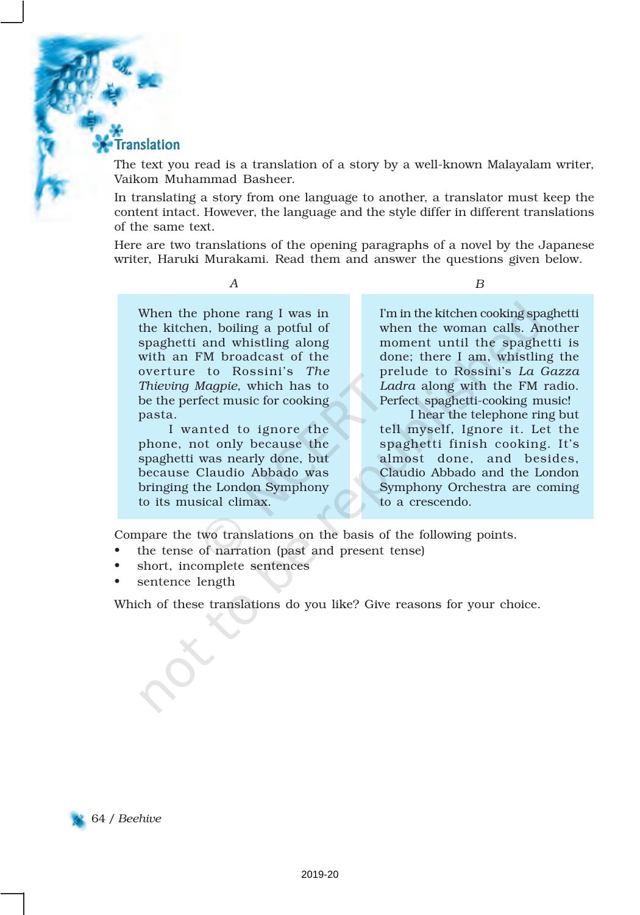#### **Translation**

The text you read is a translation of a story by a well-known Malayalam writer, Vaikom Muhammad Basheer.

In translating a story from one language to another, a translator must keep the content intact. However, the language and the style differ in different translations of the same text.

Here are two translations of the opening paragraphs of a novel by the Japanese writer, Haruki Murakami. Read them and answer the questions given below.

*A*

When the phone rang I was in the kitchen, boiling a potful of spaghetti and whistling along with an FM broadcast of the overture to Rossini's *The Thieving Magpie*, which has to be the perfect music for cooking pasta.

I wanted to ignore the phone, not only because the spaghetti was nearly done, but because Claudio Abbado was bringing the London Symphony to its musical climax.

*B*

I'm in the kitchen cooking spaghetti when the woman calls. Another moment until the spaghetti is done; there I am, whistling the prelude to Rossini's *La Gazza Ladra* along with the FM radio. Perfect spaghetti-cooking music!

I hear the telephone ring but tell myself, Ignore it. Let the spaghetti finish cooking. It's almost done, and besides, Claudio Abbado and the London Symphony Orchestra are coming to a crescendo.

Compare the two translations on the basis of the following points.

- the tense of narration (past and present tense)
- short, incomplete sentences
- sentence length

Which of these translations do you like? Give reasons for your choice.

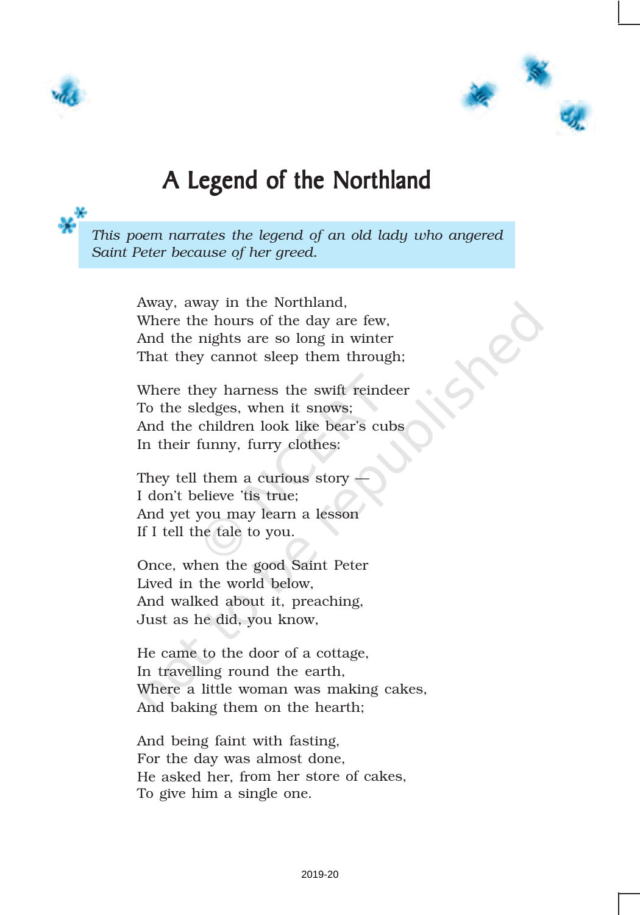



### A Legend of the Northland

*This poem narrates the legend of an old lady who angered Saint Peter because of her greed.*

> Away, away in the Northland, Where the hours of the day are few, And the nights are so long in winter That they cannot sleep them through;

> Where they harness the swift reindeer To the sledges, when it snows; And the children look like bear's cubs In their funny, furry clothes:

They tell them a curious story I don't believe 'tis true; And yet you may learn a lesson If I tell the tale to you.

Once, when the good Saint Peter Lived in the world below, And walked about it, preaching, Just as he did, you know,

He came to the door of a cottage, In travelling round the earth, Where a little woman was making cakes, And baking them on the hearth;

And being faint with fasting, For the day was almost done, He asked her, from her store of cakes, To give him a single one.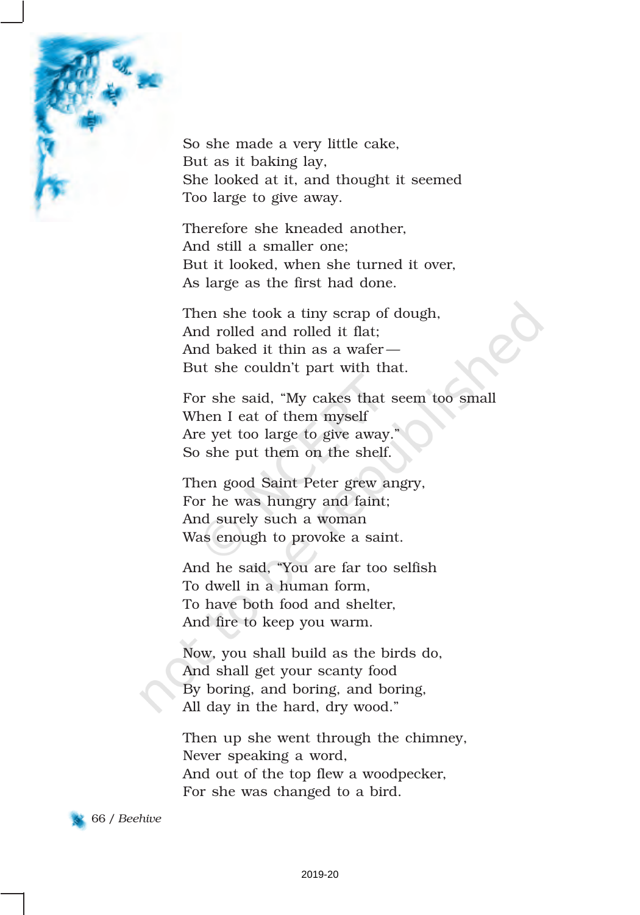

So she made a very little cake, But as it baking lay, She looked at it, and thought it seemed Too large to give away.

Therefore she kneaded another, And still a smaller one; But it looked, when she turned it over, As large as the first had done.

Then she took a tiny scrap of dough, And rolled and rolled it flat; And baked it thin as a wafer — But she couldn't part with that.

For she said, "My cakes that seem too small When I eat of them myself Are yet too large to give away." So she put them on the shelf.

Then good Saint Peter grew angry, For he was hungry and faint; And surely such a woman Was enough to provoke a saint.

And he said, "You are far too selfish To dwell in a human form, To have both food and shelter, And fire to keep you warm.

Now, you shall build as the birds do, And shall get your scanty food By boring, and boring, and boring, All day in the hard, dry wood."

Then up she went through the chimney, Never speaking a word, And out of the top flew a woodpecker, For she was changed to a bird.